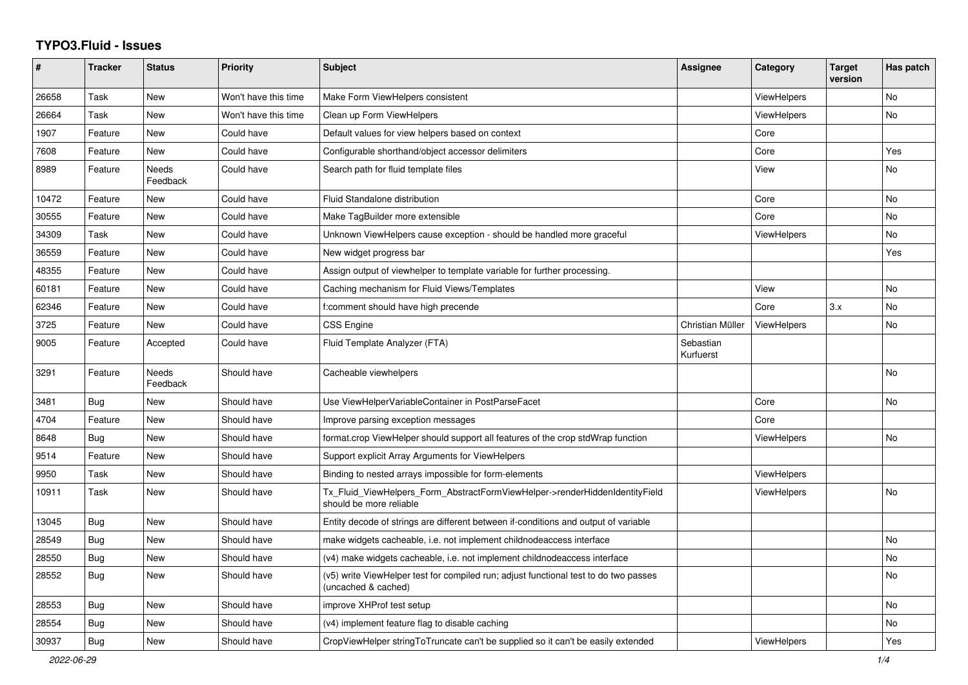## **TYPO3.Fluid - Issues**

| ∦     | <b>Tracker</b> | <b>Status</b>            | <b>Priority</b>      | <b>Subject</b>                                                                                              | Assignee               | Category           | <b>Target</b><br>version | Has patch |
|-------|----------------|--------------------------|----------------------|-------------------------------------------------------------------------------------------------------------|------------------------|--------------------|--------------------------|-----------|
| 26658 | Task           | New                      | Won't have this time | Make Form ViewHelpers consistent                                                                            |                        | <b>ViewHelpers</b> |                          | <b>No</b> |
| 26664 | Task           | New                      | Won't have this time | Clean up Form ViewHelpers                                                                                   |                        | <b>ViewHelpers</b> |                          | No        |
| 1907  | Feature        | New                      | Could have           | Default values for view helpers based on context                                                            |                        | Core               |                          |           |
| 7608  | Feature        | New                      | Could have           | Configurable shorthand/object accessor delimiters                                                           |                        | Core               |                          | Yes       |
| 8989  | Feature        | <b>Needs</b><br>Feedback | Could have           | Search path for fluid template files                                                                        |                        | View               |                          | No        |
| 10472 | Feature        | <b>New</b>               | Could have           | Fluid Standalone distribution                                                                               |                        | Core               |                          | <b>No</b> |
| 30555 | Feature        | <b>New</b>               | Could have           | Make TagBuilder more extensible                                                                             |                        | Core               |                          | No        |
| 34309 | Task           | New                      | Could have           | Unknown ViewHelpers cause exception - should be handled more graceful                                       |                        | ViewHelpers        |                          | <b>No</b> |
| 36559 | Feature        | New                      | Could have           | New widget progress bar                                                                                     |                        |                    |                          | Yes       |
| 48355 | Feature        | New                      | Could have           | Assign output of viewhelper to template variable for further processing.                                    |                        |                    |                          |           |
| 60181 | Feature        | New                      | Could have           | Caching mechanism for Fluid Views/Templates                                                                 |                        | View               |                          | <b>No</b> |
| 62346 | Feature        | <b>New</b>               | Could have           | f:comment should have high precende                                                                         |                        | Core               | 3.x                      | <b>No</b> |
| 3725  | Feature        | <b>New</b>               | Could have           | CSS Engine                                                                                                  | Christian Müller       | ViewHelpers        |                          | No        |
| 9005  | Feature        | Accepted                 | Could have           | Fluid Template Analyzer (FTA)                                                                               | Sebastian<br>Kurfuerst |                    |                          |           |
| 3291  | Feature        | Needs<br>Feedback        | Should have          | Cacheable viewhelpers                                                                                       |                        |                    |                          | <b>No</b> |
| 3481  | Bug            | New                      | Should have          | Use ViewHelperVariableContainer in PostParseFacet                                                           |                        | Core               |                          | <b>No</b> |
| 4704  | Feature        | New                      | Should have          | Improve parsing exception messages                                                                          |                        | Core               |                          |           |
| 8648  | Bug            | New                      | Should have          | format.crop ViewHelper should support all features of the crop stdWrap function                             |                        | ViewHelpers        |                          | No        |
| 9514  | Feature        | New                      | Should have          | Support explicit Array Arguments for ViewHelpers                                                            |                        |                    |                          |           |
| 9950  | Task           | <b>New</b>               | Should have          | Binding to nested arrays impossible for form-elements                                                       |                        | <b>ViewHelpers</b> |                          |           |
| 10911 | Task           | <b>New</b>               | Should have          | Tx_Fluid_ViewHelpers_Form_AbstractFormViewHelper->renderHiddenIdentityField<br>should be more reliable      |                        | ViewHelpers        |                          | <b>No</b> |
| 13045 | Bug            | New                      | Should have          | Entity decode of strings are different between if-conditions and output of variable                         |                        |                    |                          |           |
| 28549 | Bug            | <b>New</b>               | Should have          | make widgets cacheable, i.e. not implement childnodeaccess interface                                        |                        |                    |                          | <b>No</b> |
| 28550 | Bug            | New                      | Should have          | (v4) make widgets cacheable, i.e. not implement childnodeaccess interface                                   |                        |                    |                          | No.       |
| 28552 | <b>Bug</b>     | New                      | Should have          | (v5) write ViewHelper test for compiled run; adjust functional test to do two passes<br>(uncached & cached) |                        |                    |                          | <b>No</b> |
| 28553 | Bug            | New                      | Should have          | improve XHProf test setup                                                                                   |                        |                    |                          | No        |
| 28554 | Bug            | New                      | Should have          | (v4) implement feature flag to disable caching                                                              |                        |                    |                          | No        |
| 30937 | <b>Bug</b>     | <b>New</b>               | Should have          | CropViewHelper stringToTruncate can't be supplied so it can't be easily extended                            |                        | <b>ViewHelpers</b> |                          | Yes       |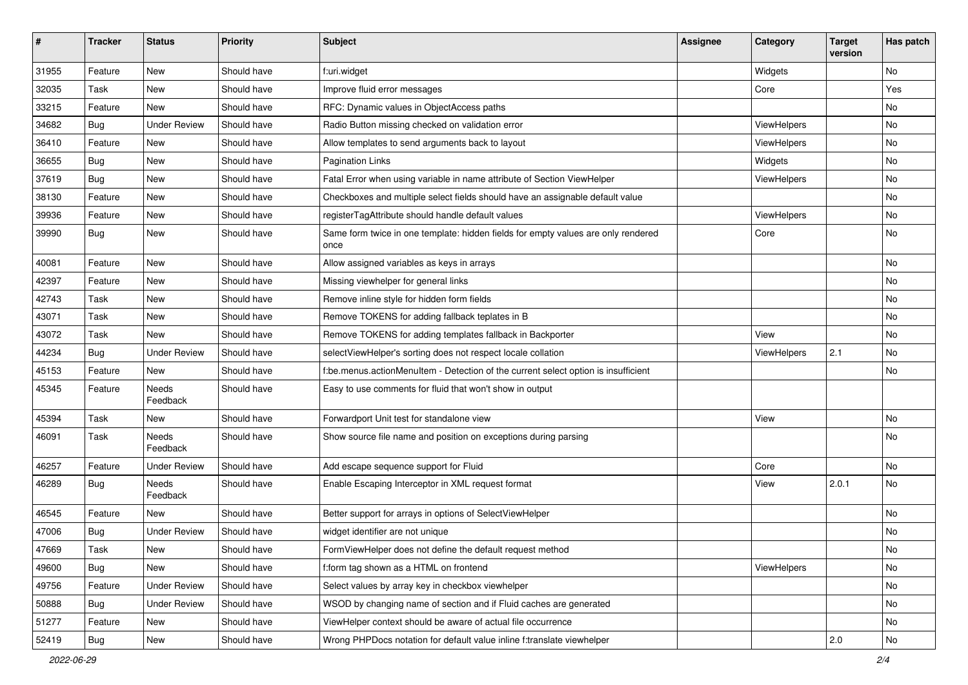| #     | <b>Tracker</b> | <b>Status</b>       | <b>Priority</b> | Subject                                                                                   | <b>Assignee</b> | Category    | <b>Target</b><br>version | Has patch |
|-------|----------------|---------------------|-----------------|-------------------------------------------------------------------------------------------|-----------------|-------------|--------------------------|-----------|
| 31955 | Feature        | New                 | Should have     | f:uri.widget                                                                              |                 | Widgets     |                          | <b>No</b> |
| 32035 | Task           | New                 | Should have     | Improve fluid error messages                                                              |                 | Core        |                          | Yes       |
| 33215 | Feature        | New                 | Should have     | RFC: Dynamic values in ObjectAccess paths                                                 |                 |             |                          | No        |
| 34682 | Bug            | <b>Under Review</b> | Should have     | Radio Button missing checked on validation error                                          |                 | ViewHelpers |                          | No        |
| 36410 | Feature        | New                 | Should have     | Allow templates to send arguments back to layout                                          |                 | ViewHelpers |                          | No        |
| 36655 | Bug            | New                 | Should have     | <b>Pagination Links</b>                                                                   |                 | Widgets     |                          | No        |
| 37619 | Bug            | New                 | Should have     | Fatal Error when using variable in name attribute of Section ViewHelper                   |                 | ViewHelpers |                          | No        |
| 38130 | Feature        | New                 | Should have     | Checkboxes and multiple select fields should have an assignable default value             |                 |             |                          | No        |
| 39936 | Feature        | New                 | Should have     | registerTagAttribute should handle default values                                         |                 | ViewHelpers |                          | No        |
| 39990 | Bug            | New                 | Should have     | Same form twice in one template: hidden fields for empty values are only rendered<br>once |                 | Core        |                          | No        |
| 40081 | Feature        | New                 | Should have     | Allow assigned variables as keys in arrays                                                |                 |             |                          | No        |
| 42397 | Feature        | New                 | Should have     | Missing viewhelper for general links                                                      |                 |             |                          | No        |
| 42743 | Task           | New                 | Should have     | Remove inline style for hidden form fields                                                |                 |             |                          | No        |
| 43071 | Task           | New                 | Should have     | Remove TOKENS for adding fallback teplates in B                                           |                 |             |                          | No        |
| 43072 | Task           | New                 | Should have     | Remove TOKENS for adding templates fallback in Backporter                                 |                 | View        |                          | No        |
| 44234 | Bug            | <b>Under Review</b> | Should have     | selectViewHelper's sorting does not respect locale collation                              |                 | ViewHelpers | 2.1                      | No        |
| 45153 | Feature        | New                 | Should have     | f:be.menus.actionMenuItem - Detection of the current select option is insufficient        |                 |             |                          | No        |
| 45345 | Feature        | Needs<br>Feedback   | Should have     | Easy to use comments for fluid that won't show in output                                  |                 |             |                          |           |
| 45394 | Task           | New                 | Should have     | Forwardport Unit test for standalone view                                                 |                 | View        |                          | No        |
| 46091 | Task           | Needs<br>Feedback   | Should have     | Show source file name and position on exceptions during parsing                           |                 |             |                          | No        |
| 46257 | Feature        | Under Review        | Should have     | Add escape sequence support for Fluid                                                     |                 | Core        |                          | No        |
| 46289 | Bug            | Needs<br>Feedback   | Should have     | Enable Escaping Interceptor in XML request format                                         |                 | View        | 2.0.1                    | <b>No</b> |
| 46545 | Feature        | New                 | Should have     | Better support for arrays in options of SelectViewHelper                                  |                 |             |                          | No        |
| 47006 | <b>Bug</b>     | <b>Under Review</b> | Should have     | widget identifier are not unique                                                          |                 |             |                          | No        |
| 47669 | Task           | New                 | Should have     | FormViewHelper does not define the default request method                                 |                 |             |                          | ΝO        |
| 49600 | <b>Bug</b>     | New                 | Should have     | f:form tag shown as a HTML on frontend                                                    |                 | ViewHelpers |                          | No        |
| 49756 | Feature        | <b>Under Review</b> | Should have     | Select values by array key in checkbox viewhelper                                         |                 |             |                          | No        |
| 50888 | Bug            | <b>Under Review</b> | Should have     | WSOD by changing name of section and if Fluid caches are generated                        |                 |             |                          | No        |
| 51277 | Feature        | New                 | Should have     | ViewHelper context should be aware of actual file occurrence                              |                 |             |                          | No        |
| 52419 | <b>Bug</b>     | New                 | Should have     | Wrong PHPDocs notation for default value inline f:translate viewhelper                    |                 |             | 2.0                      | No        |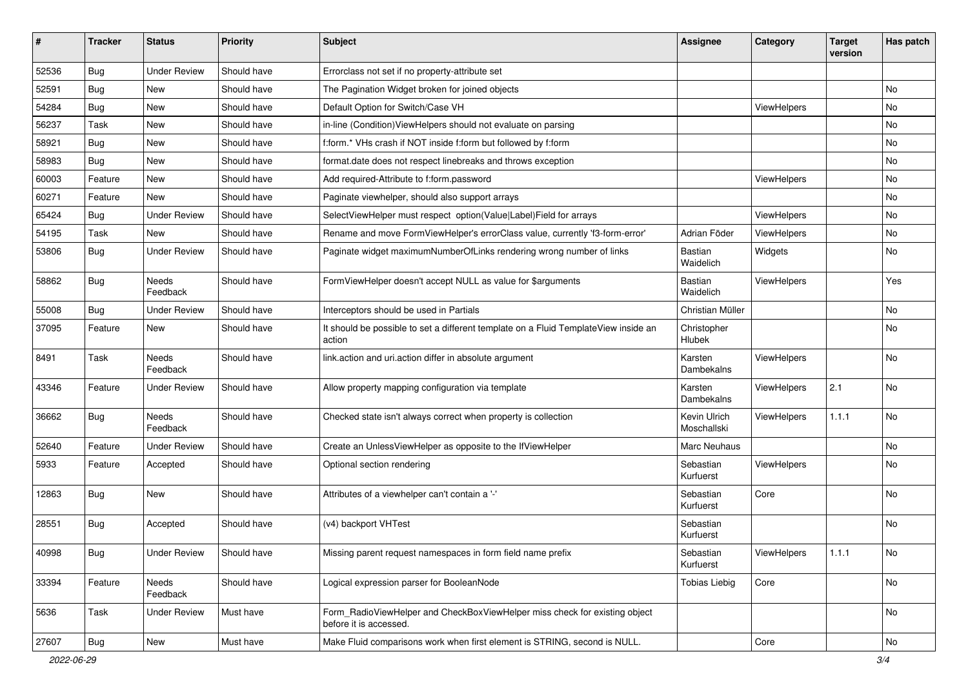| ∦     | <b>Tracker</b> | <b>Status</b>            | <b>Priority</b> | <b>Subject</b>                                                                                       | Assignee                    | Category           | <b>Target</b><br>version | Has patch |
|-------|----------------|--------------------------|-----------------|------------------------------------------------------------------------------------------------------|-----------------------------|--------------------|--------------------------|-----------|
| 52536 | Bug            | <b>Under Review</b>      | Should have     | Errorclass not set if no property-attribute set                                                      |                             |                    |                          |           |
| 52591 | Bug            | New                      | Should have     | The Pagination Widget broken for joined objects                                                      |                             |                    |                          | No        |
| 54284 | Bug            | New                      | Should have     | Default Option for Switch/Case VH                                                                    |                             | ViewHelpers        |                          | No        |
| 56237 | Task           | New                      | Should have     | in-line (Condition) View Helpers should not evaluate on parsing                                      |                             |                    |                          | No        |
| 58921 | Bug            | New                      | Should have     | f:form.* VHs crash if NOT inside f:form but followed by f:form                                       |                             |                    |                          | No        |
| 58983 | Bug            | New                      | Should have     | format.date does not respect linebreaks and throws exception                                         |                             |                    |                          | No        |
| 60003 | Feature        | New                      | Should have     | Add required-Attribute to f:form.password                                                            |                             | ViewHelpers        |                          | No        |
| 60271 | Feature        | New                      | Should have     | Paginate viewhelper, should also support arrays                                                      |                             |                    |                          | No        |
| 65424 | Bug            | <b>Under Review</b>      | Should have     | SelectViewHelper must respect option(Value Label)Field for arrays                                    |                             | ViewHelpers        |                          | No        |
| 54195 | Task           | New                      | Should have     | Rename and move FormViewHelper's errorClass value, currently 'f3-form-error'                         | Adrian Föder                | ViewHelpers        |                          | No        |
| 53806 | Bug            | <b>Under Review</b>      | Should have     | Paginate widget maximumNumberOfLinks rendering wrong number of links                                 | Bastian<br>Waidelich        | Widgets            |                          | No        |
| 58862 | Bug            | <b>Needs</b><br>Feedback | Should have     | FormViewHelper doesn't accept NULL as value for \$arguments                                          | Bastian<br>Waidelich        | ViewHelpers        |                          | Yes       |
| 55008 | Bug            | <b>Under Review</b>      | Should have     | Interceptors should be used in Partials                                                              | Christian Müller            |                    |                          | No        |
| 37095 | Feature        | New                      | Should have     | It should be possible to set a different template on a Fluid TemplateView inside an<br>action        | Christopher<br>Hlubek       |                    |                          | No        |
| 8491  | Task           | Needs<br>Feedback        | Should have     | link.action and uri.action differ in absolute argument                                               | Karsten<br>Dambekalns       | ViewHelpers        |                          | No        |
| 43346 | Feature        | Under Review             | Should have     | Allow property mapping configuration via template                                                    | Karsten<br>Dambekalns       | ViewHelpers        | 2.1                      | <b>No</b> |
| 36662 | Bug            | <b>Needs</b><br>Feedback | Should have     | Checked state isn't always correct when property is collection                                       | Kevin Ulrich<br>Moschallski | ViewHelpers        | 1.1.1                    | No        |
| 52640 | Feature        | <b>Under Review</b>      | Should have     | Create an UnlessViewHelper as opposite to the IfViewHelper                                           | <b>Marc Neuhaus</b>         |                    |                          | No        |
| 5933  | Feature        | Accepted                 | Should have     | Optional section rendering                                                                           | Sebastian<br>Kurfuerst      | ViewHelpers        |                          | No        |
| 12863 | Bug            | New                      | Should have     | Attributes of a viewhelper can't contain a '-'                                                       | Sebastian<br>Kurfuerst      | Core               |                          | No        |
| 28551 | Bug            | Accepted                 | Should have     | (v4) backport VHTest                                                                                 | Sebastian<br>Kurfuerst      |                    |                          | No        |
| 40998 | <b>Bug</b>     | <b>Under Review</b>      | Should have     | Missing parent request namespaces in form field name prefix                                          | Sebastian<br>Kurfuerst      | <b>ViewHelpers</b> | 1.1.1                    | No        |
| 33394 | Feature        | Needs<br>Feedback        | Should have     | Logical expression parser for BooleanNode                                                            | <b>Tobias Liebig</b>        | Core               |                          | No        |
| 5636  | Task           | <b>Under Review</b>      | Must have       | Form RadioViewHelper and CheckBoxViewHelper miss check for existing object<br>before it is accessed. |                             |                    |                          | No        |
| 27607 | <b>Bug</b>     | New                      | Must have       | Make Fluid comparisons work when first element is STRING, second is NULL.                            |                             | Core               |                          | No        |